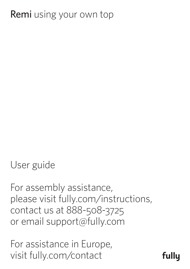# **Remi** using your own top

User guide

For assembly assistance, please visit fully.com/instructions, contact us at 888-508-3725 or email support@fully.com

For assistance in Europe, visit fully.com/contact

fullu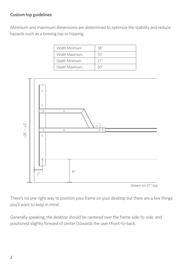#### Custom top guidelines

Minimum and maximum dimensions are determined to optimize the stability and reduce hazards such as a bowing top or tripping.

| Width Minimum | 38" |
|---------------|-----|
| Width Maximum | 70" |
| Depth Minimum | 27" |
| Depth Maximum | ろし  |



Shown on 27" top

There's no one right way to position your frame on your desktop but there are a few things you'll want to keep in mind.

Generally speaking, the desktop should be centered over the frame side-to-side, and positioned slightly forward of center (towards the user) front-to-back.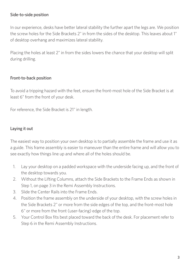#### Side-to-side position

In our experience, desks have better lateral stability the further apart the legs are. We position the screw holes for the Side Brackets 2" in from the sides of the desktop. This leaves about 1" of desktop overhang and maximizes lateral stability.

Placing the holes at least 2" in from the sides lowers the chance that your desktop will split during drilling.

### Front-to-back position

To avoid a tripping hazard with the feet, ensure the front-most hole of the Side Bracket is at least 6" from the front of your desk.

For reference, the Side Bracket is 21" in length.

### Laying it out

The easiest way to position your own desktop is to partially assemble the frame and use it as a guide. This frame assembly is easier to maneuver than the entire frame and will allow you to see exactly how things line up and where all of the holes should be.

- 1. Lay your desktop on a padded workspace with the underside facing up, and the front of the desktop towards you.
- 2. Without the Lifting Columns, attach the Side Brackets to the Frame Ends as shown in Step 1, on page 3 in the Remi Assembly Instructions.
- 3. Slide the Center Rails into the Frame Ends.
- 4. Position the frame assembly on the underside of your desktop, with the screw holes in the Side Brackets 2" or more from the side edges of the top, and the front-most hole 6" or more from the front (user-facing) edge of the top.
- 5. Your Control Box fits best placed toward the back of the desk. For placement refer to Step 6 in the Remi Assembly Instructions.